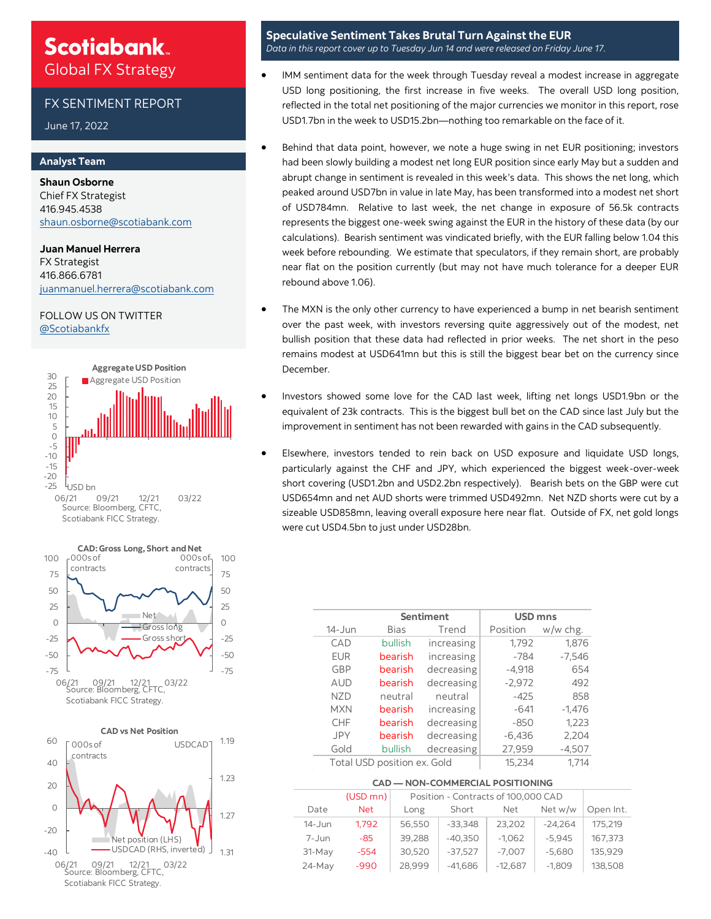### **Scotiabank** Global FX Strategy

#### FX SENTIMENT REPORT

June 17, 2022

#### **Analyst Team**

**Shaun Osborne**  Chief FX Strategist 416.945.4538 [shaun.osborne@scotiabank.com](mailto:shaun.osborne@scotiabank.com)

**Juan Manuel Herrera**  FX Strategist 416.866.6781 [juanmanuel.herrera@scotiabank.com](mailto:juanmanuel.herrera@scotiabank.com)

#### FOLLOW US ON TWITTER [@Scotiabankfx](https://twitter.com/Scotiabankfx)





06/21 09/21 12/21 03/22 Source: Bloomberg, CFTC, Scotiabank FICC Strategy.

#### **Speculative Sentiment Takes Brutal Turn Against the EUR**  *Data in this report cover up to Tuesday Jun 14 and were released on Friday June 17.*

- IMM sentiment data for the week through Tuesday reveal a modest increase in aggregate USD long positioning, the first increase in five weeks. The overall USD long position, reflected in the total net positioning of the major currencies we monitor in this report, rose USD1.7bn in the week to USD15.2bn—nothing too remarkable on the face of it.
- Behind that data point, however, we note a huge swing in net EUR positioning; investors had been slowly building a modest net long EUR position since early May but a sudden and abrupt change in sentiment is revealed in this week's data. This shows the net long, which peaked around USD7bn in value in late May, has been transformed into a modest net short of USD784mn. Relative to last week, the net change in exposure of 56.5k contracts represents the biggest one-week swing against the EUR in the history of these data (by our calculations). Bearish sentiment was vindicated briefly, with the EUR falling below 1.04 this week before rebounding. We estimate that speculators, if they remain short, are probably near flat on the position currently (but may not have much tolerance for a deeper EUR rebound above 1.06).
- The MXN is the only other currency to have experienced a bump in net bearish sentiment over the past week, with investors reversing quite aggressively out of the modest, net bullish position that these data had reflected in prior weeks. The net short in the peso remains modest at USD641mn but this is still the biggest bear bet on the currency since December.
- Investors showed some love for the CAD last week, lifting net longs USD1.9bn or the equivalent of 23k contracts. This is the biggest bull bet on the CAD since last July but the improvement in sentiment has not been rewarded with gains in the CAD subsequently.
- Elsewhere, investors tended to rein back on USD exposure and liquidate USD longs, particularly against the CHF and JPY, which experienced the biggest week-over-week short covering (USD1.2bn and USD2.2bn respectively). Bearish bets on the GBP were cut USD654mn and net AUD shorts were trimmed USD492mn. Net NZD shorts were cut by a sizeable USD858mn, leaving overall exposure here near flat. Outside of FX, net gold longs were cut USD4.5bn to just under USD28bn.

|            | Sentiment                   | <b>USD mns</b> |          |          |  |
|------------|-----------------------------|----------------|----------|----------|--|
| $14 - Jun$ | <b>Bias</b>                 | Trend          | Position | w/w chg. |  |
| CAD        | bullish                     | increasing     | 1,792    | 1,876    |  |
| <b>EUR</b> | bearish                     | increasing     | $-784$   | $-7,546$ |  |
| GBP        | bearish                     | decreasing     | $-4,918$ | 654      |  |
| <b>AUD</b> | bearish                     | decreasing     | $-2,972$ | 492      |  |
| N7D        | neutral                     | neutral        | $-425$   | 858      |  |
| <b>MXN</b> | bearish                     | increasing     | $-641$   | $-1.476$ |  |
| <b>CHF</b> | bearish                     | decreasing     | $-850$   | 1,223    |  |
| <b>JPY</b> | bearish                     | decreasing     | $-6,436$ | 2,204    |  |
| Gold       | bullish                     | decreasing     | 27,959   | $-4,507$ |  |
|            | Total USD position ex. Gold | 15,234         | 1.714    |          |  |

#### **CAD — NON-COMMERCIAL POSITIONING**

| Short<br>Long | Net                                  |                                                  |           |  |
|---------------|--------------------------------------|--------------------------------------------------|-----------|--|
|               |                                      | Net w/w                                          | Open Int. |  |
|               | 23.202                               | $-24.264$                                        | 175.219   |  |
|               | $-1.062$                             | $-5.945$                                         | 167,373   |  |
|               | $-7,007$                             | $-5,680$                                         | 135.929   |  |
|               | $-12,687$                            |                                                  | 138,508   |  |
|               | 56,550<br>39.288<br>30,520<br>28,999 | $-33.348$<br>$-40.350$<br>$-37.527$<br>$-41,686$ | $-1,809$  |  |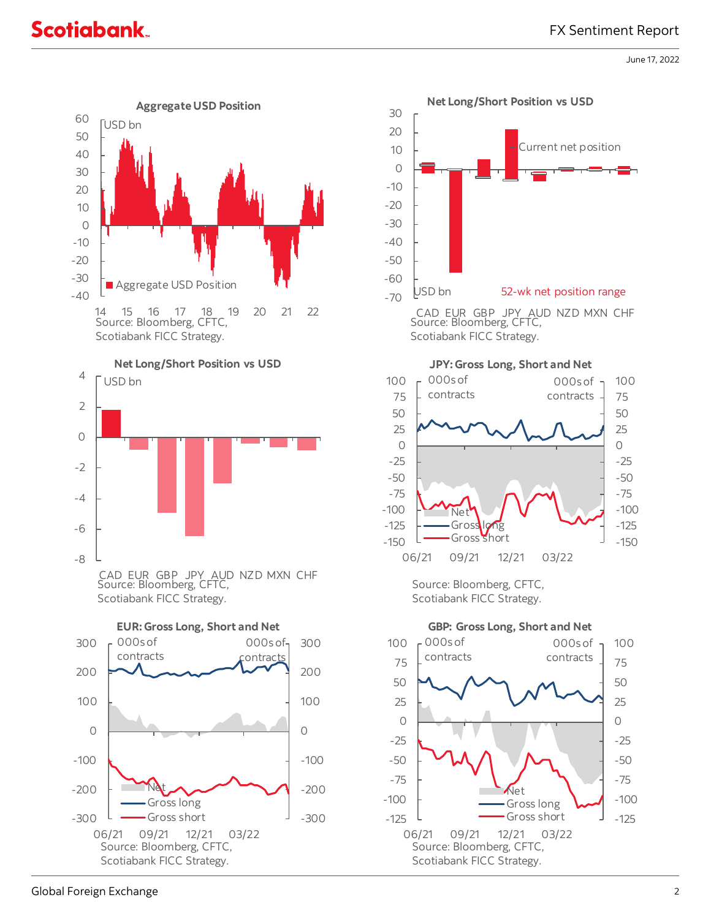June 17, 2022





Source: Bloomberg, CFTC, Scotiabank FICC Strategy.

-300

-200

-100

### Scotiabank FICC Strategy.

06/21 09/21 12/21 03/22

Source: Bloomberg, CFTC,

**Net** Gross long Gross short

-300

-200

-100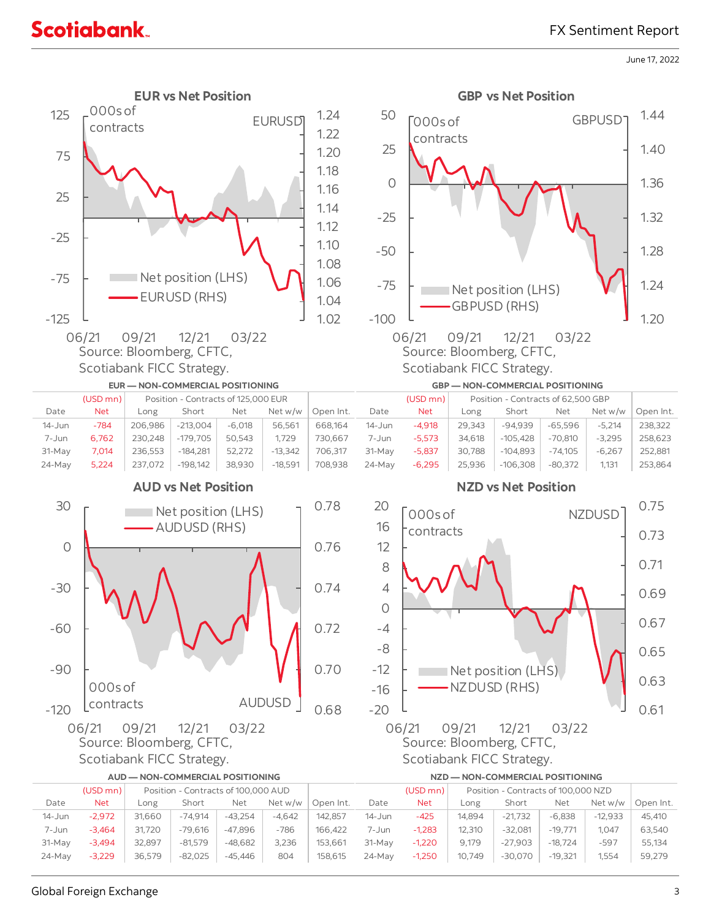### FX Sentiment Report

June 17, 2022



| Global Foreign Exchange |  |
|-------------------------|--|
|                         |  |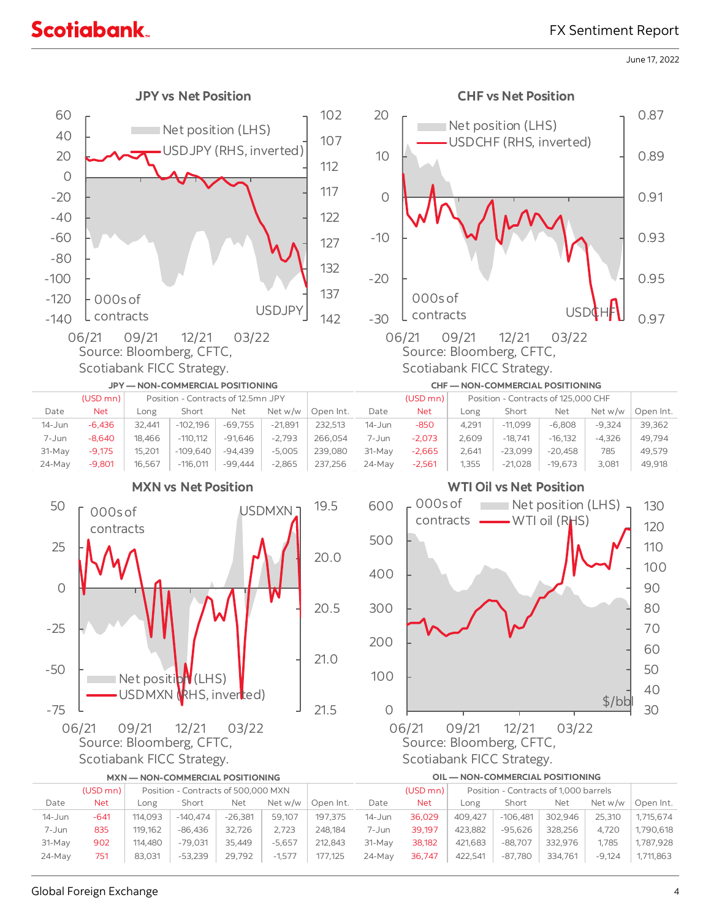### FX Sentiment Report

June 17, 2022



|            | $(USD$ mn $)$ | Position - Contracts of 500,000 MXN |            |           |          |           |            | $(USD$ mn $)$ | Position - Contracts of 1,000 barrels |            |         |          |           |
|------------|---------------|-------------------------------------|------------|-----------|----------|-----------|------------|---------------|---------------------------------------|------------|---------|----------|-----------|
| Date       | <b>Net</b>    | Long                                | Short      | Net       | Net w/w  | Open Int. | Date       | <b>Net</b>    | Long                                  | Short      | Net     | Net w/w  | Open Int. |
| $14 - Jun$ | -641          | 114,093                             | $-140.474$ | $-26.381$ | 59,107   | 197,375   | $14 - Jun$ | 36,029        | 409.427                               | $-106.481$ | 302.946 | 25.310   | 1.715.674 |
| 7-Jun      | 835           | 119,162                             | $-86.436$  | 32.726    | 2,723    | 248.184   | 7-Jun      | 39.197        | 423,882                               | $-95.626$  | 328.256 | 4.720    | 1,790,618 |
| $31-May$   | 902           | 114,480                             | $-79.031$  | 35.449    | $-5.657$ | 212.843   | 31-May     | 38,182        | 421,683                               | $-88.707$  | 332.976 | 1.785    | 1,787,928 |
| 24-May     | 751           | 83.031                              | $-53,239$  | 29,792    | $-1,577$ | 177,125   | $24-Mav$   | 36,747        | 422,541                               | $-87,780$  | 334,761 | $-9.124$ | 1,711,863 |
|            |               |                                     |            |           |          |           |            |               |                                       |            |         |          |           |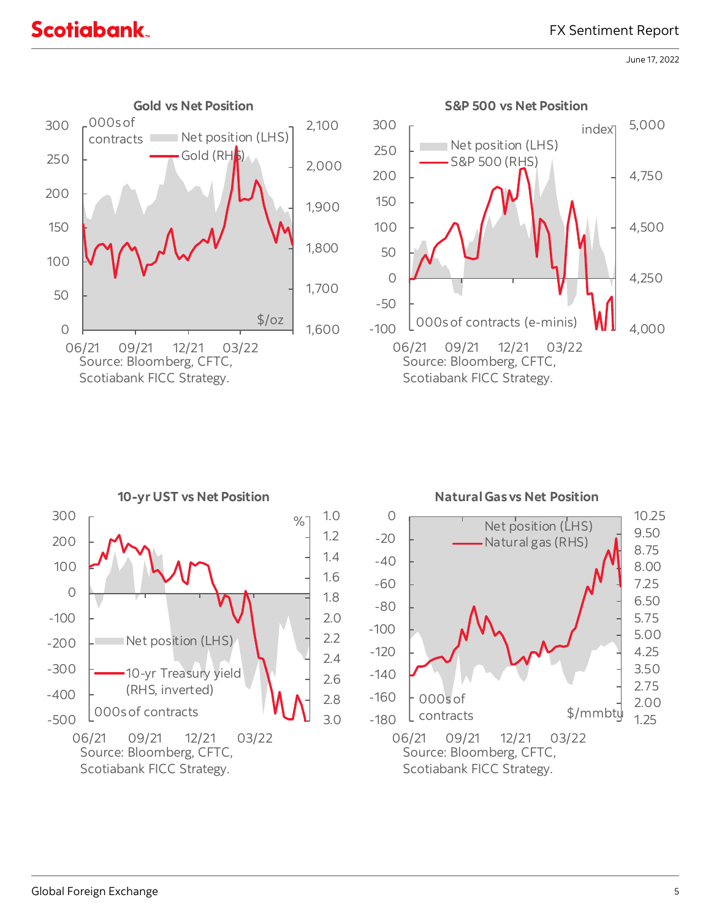### FX Sentiment Report

## **Scotiabank**

June 17, 2022